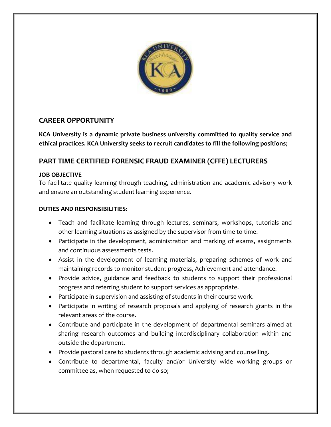

## **CAREER OPPORTUNITY**

**KCA University is a dynamic private business university committed to quality service and ethical practices. KCA University seeks to recruit candidates to fill the following positions**;

# **PART TIME CERTIFIED FORENSIC FRAUD EXAMINER (CFFE) LECTURERS**

## **JOB OBJECTIVE**

To facilitate quality learning through teaching, administration and academic advisory work and ensure an outstanding student learning experience.

#### **DUTIES AND RESPONSIBILITIES:**

- Teach and facilitate learning through lectures, seminars, workshops, tutorials and other learning situations as assigned by the supervisor from time to time.
- Participate in the development, administration and marking of exams, assignments and continuous assessments tests.
- Assist in the development of learning materials, preparing schemes of work and maintaining records to monitor student progress, Achievement and attendance.
- Provide advice, guidance and feedback to students to support their professional progress and referring student to support services as appropriate.
- Participate in supervision and assisting of students in their course work.
- Participate in writing of research proposals and applying of research grants in the relevant areas of the course.
- Contribute and participate in the development of departmental seminars aimed at sharing research outcomes and building interdisciplinary collaboration within and outside the department.
- Provide pastoral care to students through academic advising and counselling.
- Contribute to departmental, faculty and/or University wide working groups or committee as, when requested to do so;